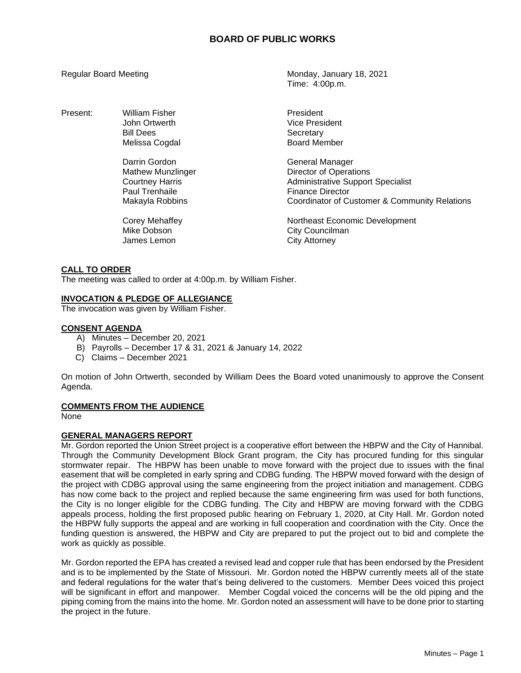| Regular Board Meeting |                                                                                                                                                          | Monday, January 18, 2021<br>Time: 4:00p.m.                                                                                                                                                                                                            |
|-----------------------|----------------------------------------------------------------------------------------------------------------------------------------------------------|-------------------------------------------------------------------------------------------------------------------------------------------------------------------------------------------------------------------------------------------------------|
| Present:              | William Fisher<br>John Ortwerth<br><b>Bill Dees</b><br>Melissa Cogdal                                                                                    | President<br>Vice President<br>Secretary<br><b>Board Member</b>                                                                                                                                                                                       |
|                       | Darrin Gordon<br><b>Mathew Munzlinger</b><br><b>Courtney Harris</b><br>Paul Trenhaile<br>Makayla Robbins<br>Corey Mehaffey<br>Mike Dobson<br>James Lemon | General Manager<br><b>Director of Operations</b><br><b>Administrative Support Specialist</b><br><b>Finance Director</b><br>Coordinator of Customer & Community Relations<br>Northeast Economic Development<br>City Councilman<br><b>City Attorney</b> |

## **CALL TO ORDER**

The meeting was called to order at 4:00p.m. by William Fisher.

# **INVOCATION & PLEDGE OF ALLEGIANCE**

The invocation was given by William Fisher.

## **CONSENT AGENDA**

- A) Minutes December 20, 2021
- B) Payrolls December 17 & 31, 2021 & January 14, 2022
- C) Claims December 2021

On motion of John Ortwerth, seconded by William Dees the Board voted unanimously to approve the Consent Agenda.

## **COMMENTS FROM THE AUDIENCE**

None

# **GENERAL MANAGERS REPORT**

Mr. Gordon reported the Union Street project is a cooperative effort between the HBPW and the City of Hannibal. Through the Community Development Block Grant program, the City has procured funding for this singular stormwater repair. The HBPW has been unable to move forward with the project due to issues with the final easement that will be completed in early spring and CDBG funding. The HBPW moved forward with the design of the project with CDBG approval using the same engineering from the project initiation and management. CDBG has now come back to the project and replied because the same engineering firm was used for both functions, the City is no longer eligible for the CDBG funding. The City and HBPW are moving forward with the CDBG appeals process, holding the first proposed public hearing on February 1, 2020, at City Hall. Mr. Gordon noted the HBPW fully supports the appeal and are working in full cooperation and coordination with the City. Once the funding question is answered, the HBPW and City are prepared to put the project out to bid and complete the work as quickly as possible.

Mr. Gordon reported the EPA has created a revised lead and copper rule that has been endorsed by the President and is to be implemented by the State of Missouri. Mr. Gordon noted the HBPW currently meets all of the state and federal regulations for the water that's being delivered to the customers. Member Dees voiced this project will be significant in effort and manpower. Member Cogdal voiced the concerns will be the old piping and the piping coming from the mains into the home. Mr. Gordon noted an assessment will have to be done prior to starting the project in the future.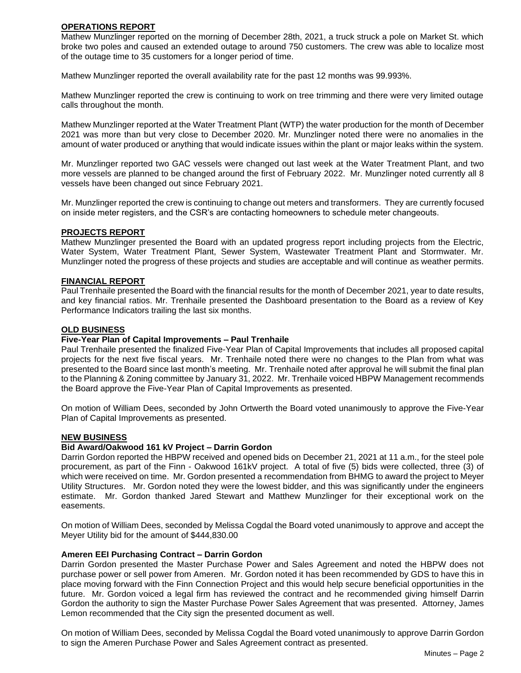# **OPERATIONS REPORT**

Mathew Munzlinger reported on the morning of December 28th, 2021, a truck struck a pole on Market St. which broke two poles and caused an extended outage to around 750 customers. The crew was able to localize most of the outage time to 35 customers for a longer period of time.

Mathew Munzlinger reported the overall availability rate for the past 12 months was 99.993%.

Mathew Munzlinger reported the crew is continuing to work on tree trimming and there were very limited outage calls throughout the month.

Mathew Munzlinger reported at the Water Treatment Plant (WTP) the water production for the month of December 2021 was more than but very close to December 2020. Mr. Munzlinger noted there were no anomalies in the amount of water produced or anything that would indicate issues within the plant or major leaks within the system.

Mr. Munzlinger reported two GAC vessels were changed out last week at the Water Treatment Plant, and two more vessels are planned to be changed around the first of February 2022. Mr. Munzlinger noted currently all 8 vessels have been changed out since February 2021.

Mr. Munzlinger reported the crew is continuing to change out meters and transformers. They are currently focused on inside meter registers, and the CSR's are contacting homeowners to schedule meter changeouts.

## **PROJECTS REPORT**

Mathew Munzlinger presented the Board with an updated progress report including projects from the Electric, Water System, Water Treatment Plant, Sewer System, Wastewater Treatment Plant and Stormwater. Mr. Munzlinger noted the progress of these projects and studies are acceptable and will continue as weather permits.

## **FINANCIAL REPORT**

Paul Trenhaile presented the Board with the financial results for the month of December 2021, year to date results, and key financial ratios. Mr. Trenhaile presented the Dashboard presentation to the Board as a review of Key Performance Indicators trailing the last six months.

## **OLD BUSINESS**

#### **Five-Year Plan of Capital Improvements – Paul Trenhaile**

Paul Trenhaile presented the finalized Five-Year Plan of Capital Improvements that includes all proposed capital projects for the next five fiscal years. Mr. Trenhaile noted there were no changes to the Plan from what was presented to the Board since last month's meeting. Mr. Trenhaile noted after approval he will submit the final plan to the Planning & Zoning committee by January 31, 2022. Mr. Trenhaile voiced HBPW Management recommends the Board approve the Five-Year Plan of Capital Improvements as presented.

On motion of William Dees, seconded by John Ortwerth the Board voted unanimously to approve the Five-Year Plan of Capital Improvements as presented.

#### **NEW BUSINESS**

# **Bid Award/Oakwood 161 kV Project – Darrin Gordon**

Darrin Gordon reported the HBPW received and opened bids on December 21, 2021 at 11 a.m., for the steel pole procurement, as part of the Finn - Oakwood 161kV project. A total of five (5) bids were collected, three (3) of which were received on time. Mr. Gordon presented a recommendation from BHMG to award the project to Meyer Utility Structures. Mr. Gordon noted they were the lowest bidder, and this was significantly under the engineers estimate. Mr. Gordon thanked Jared Stewart and Matthew Munzlinger for their exceptional work on the easements.

On motion of William Dees, seconded by Melissa Cogdal the Board voted unanimously to approve and accept the Meyer Utility bid for the amount of \$444,830.00

#### **Ameren EEI Purchasing Contract – Darrin Gordon**

Darrin Gordon presented the Master Purchase Power and Sales Agreement and noted the HBPW does not purchase power or sell power from Ameren. Mr. Gordon noted it has been recommended by GDS to have this in place moving forward with the Finn Connection Project and this would help secure beneficial opportunities in the future. Mr. Gordon voiced a legal firm has reviewed the contract and he recommended giving himself Darrin Gordon the authority to sign the Master Purchase Power Sales Agreement that was presented. Attorney, James Lemon recommended that the City sign the presented document as well.

On motion of William Dees, seconded by Melissa Cogdal the Board voted unanimously to approve Darrin Gordon to sign the Ameren Purchase Power and Sales Agreement contract as presented.